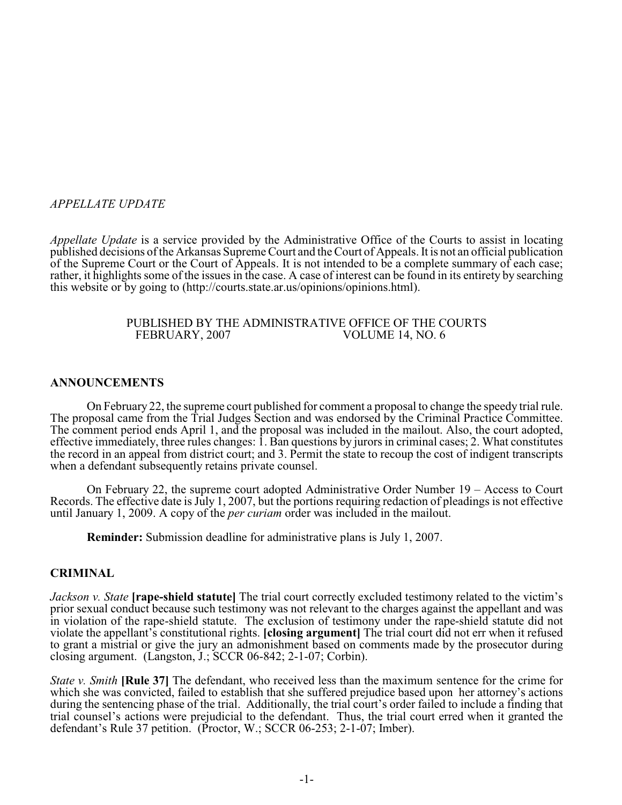## *APPELLATE UPDATE*

*Appellate Update* is a service provided by the Administrative Office of the Courts to assist in locating published decisions of the Arkansas Supreme Court and the Court of Appeals. It is not an official publication of the Supreme Court or the Court of Appeals. It is not intended to be a complete summary of each case; rather, it highlights some of the issues in the case. A case of interest can be found in its entirety by searching this website or by going to (http://courts.state.ar.us/opinions/opinions.html).

#### PUBLISHED BY THE ADMINISTRATIVE OFFICE OF THE COURTS<br>FEBRUARY, 2007 VOLUME 14, NO. 6 VOLUME 14, NO. 6

### **ANNOUNCEMENTS**

On February 22, the supreme court published for comment a proposal to change the speedy trial rule. The proposal came from the Trial Judges Section and was endorsed by the Criminal Practice Committee. The comment period ends April 1, and the proposal was included in the mailout. Also, the court adopted, effective immediately, three rules changes: 1. Ban questions by jurors in criminal cases; 2. What constitutes the record in an appeal from district court; and 3. Permit the state to recoup the cost of indigent transcripts when a defendant subsequently retains private counsel.

On February 22, the supreme court adopted Administrative Order Number 19 – Access to Court Records. The effective date is July 1, 2007, but the portions requiring redaction of pleadings is not effective until January 1, 2009. A copy of the *per curiam* order was included in the mailout.

**Reminder:** Submission deadline for administrative plans is July 1, 2007.

## **CRIMINAL**

*Jackson v. State* **[rape-shield statute]** The trial court correctly excluded testimony related to the victim's prior sexual conduct because such testimony was not relevant to the charges against the appellant and was in violation of the rape-shield statute. The exclusion of testimony under the rape-shield statute did not violate the appellant's constitutional rights. **[closing argument]** The trial court did not err when it refused to grant a mistrial or give the jury an admonishment based on comments made by the prosecutor during closing argument. (Langston, J.; SCCR 06-842; 2-1-07; Corbin).

*State v. Smith* **[Rule 37]** The defendant, who received less than the maximum sentence for the crime for which she was convicted, failed to establish that she suffered prejudice based upon her attorney's actions during the sentencing phase of the trial. Additionally, the trial court's order failed to include a finding that trial counsel's actions were prejudicial to the defendant. Thus, the trial court erred when it granted the defendant's Rule 37 petition. (Proctor, W.; SCCR 06-253; 2-1-07; Imber).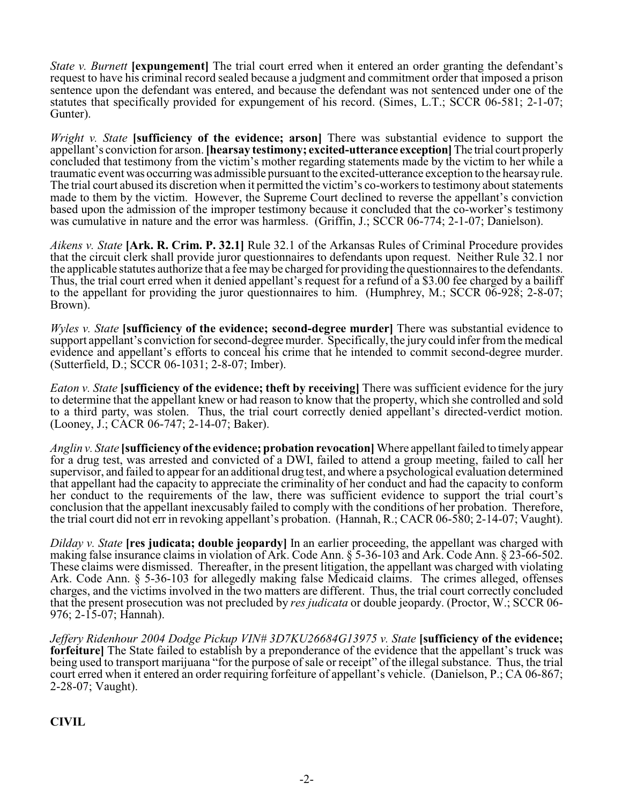*State v. Burnett* **[expungement]** The trial court erred when it entered an order granting the defendant's request to have his criminal record sealed because a judgment and commitment order that imposed a prison sentence upon the defendant was entered, and because the defendant was not sentenced under one of the statutes that specifically provided for expungement of his record. (Simes, L.T.; SCCR 06-581; 2-1-07; Gunter).

*Wright v. State* **[sufficiency of the evidence; arson]** There was substantial evidence to support the appellant's conviction for arson. **[hearsay testimony; excited-utterance exception]** The trial court properly concluded that testimony from the victim's mother regarding statements made by the victim to her while a traumatic event was occurring was admissible pursuant to the excited-utterance exception to the hearsay rule. The trial court abused its discretion when it permitted the victim's co-workers to testimony about statements made to them by the victim. However, the Supreme Court declined to reverse the appellant's conviction based upon the admission of the improper testimony because it concluded that the co-worker's testimony was cumulative in nature and the error was harmless. (Griffin, J.; SCCR 06-774; 2-1-07; Danielson).

*Aikens v. State* **[Ark. R. Crim. P. 32.1]** Rule 32.1 of the Arkansas Rules of Criminal Procedure provides that the circuit clerk shall provide juror questionnaires to defendants upon request. Neither Rule 32.1 nor the applicable statutes authorize that a fee may be charged for providing the questionnaires to the defendants. Thus, the trial court erred when it denied appellant's request for a refund of a \$3.00 fee charged by a bailiff to the appellant for providing the juror questionnaires to him. (Humphrey, M.; SCCR 06-928; 2-8-07; Brown).

*Wyles v. State* **[sufficiency of the evidence; second-degree murder]** There was substantial evidence to support appellant's conviction for second-degree murder. Specifically, the jury could infer from the medical evidence and appellant's efforts to conceal his crime that he intended to commit second-degree murder. (Sutterfield, D.; SCCR 06-1031; 2-8-07; Imber).

*Eaton v. State* **[sufficiency of the evidence; theft by receiving]** There was sufficient evidence for the jury to determine that the appellant knew or had reason to know that the property, which she controlled and sold to a third party, was stolen. Thus, the trial court correctly denied appellant's directed-verdict motion. (Looney, J.; CACR 06-747; 2-14-07; Baker).

*Anglin v. State* **[sufficiency of the evidence; probation revocation]** Where appellant failed to timely appear for a drug test, was arrested and convicted of a DWI, failed to attend a group meeting, failed to call her supervisor, and failed to appear for an additional drug test, and where a psychological evaluation determined that appellant had the capacity to appreciate the criminality of her conduct and had the capacity to conform her conduct to the requirements of the law, there was sufficient evidence to support the trial court's conclusion that the appellant inexcusably failed to comply with the conditions of her probation. Therefore, the trial court did not err in revoking appellant's probation. (Hannah, R.; CACR 06-580; 2-14-07; Vaught).

*Dilday v. State* **[res judicata; double jeopardy]** In an earlier proceeding, the appellant was charged with making false insurance claims in violation of Ark. Code Ann. § 5-36-103 and Ark. Code Ann. § 23-66-502. These claims were dismissed. Thereafter, in the present litigation, the appellant was charged with violating Ark. Code Ann. § 5-36-103 for allegedly making false Medicaid claims. The crimes alleged, offenses charges, and the victims involved in the two matters are different. Thus, the trial court correctly concluded that the present prosecution was not precluded by *res judicata* or double jeopardy. (Proctor, W.; SCCR 06- 976; 2-15-07; Hannah).

*Jeffery Ridenhour 2004 Dodge Pickup VIN# 3D7KU26684G13975 v. State* **[sufficiency of the evidence; forfeiture** The State failed to establish by a preponderance of the evidence that the appellant's truck was being used to transport marijuana "for the purpose of sale or receipt" of the illegal substance. Thus, the trial court erred when it entered an order requiring forfeiture of appellant's vehicle. (Danielson, P.; CA 06-867; 2-28-07; Vaught).

**CIVIL**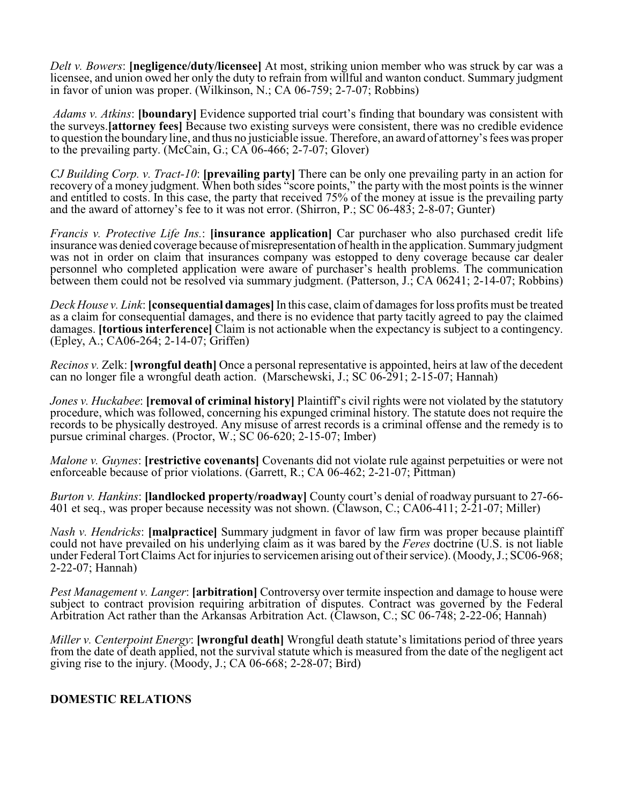*Delt v. Bowers*: **[negligence/duty/licensee]** At most, striking union member who was struck by car was a licensee, and union owed her only the duty to refrain from willful and wanton conduct. Summary judgment in favor of union was proper. (Wilkinson, N.; CA 06-759; 2-7-07; Robbins)

 *Adams v. Atkins*: **[boundary]** Evidence supported trial court's finding that boundary was consistent with the surveys.**[attorney fees]** Because two existing surveys were consistent, there was no credible evidence to question the boundary line, and thus no justiciable issue. Therefore, an award of attorney's fees was proper to the prevailing party. (McCain, G.; CA 06-466; 2-7-07; Glover)

*CJ Building Corp. v. Tract-10*: **[prevailing party]** There can be only one prevailing party in an action for recovery of a money judgment. When both sides "score points," the party with the most points is the winner and entitled to costs. In this case, the party that received 75% of the money at issue is the prevailing party and the award of attorney's fee to it was not error. (Shirron, P.; SC 06-483; 2-8-07; Gunter)

*Francis v. Protective Life Ins.*: *[insurance application]* Car purchaser who also purchased credit life insurance was denied coverage because of misrepresentation of health in the application. Summary judgment was not in order on claim that insurances company was estopped to deny coverage because car dealer personnel who completed application were aware of purchaser's health problems. The communication between them could not be resolved via summary judgment. (Patterson, J.; CA 06241; 2-14-07; Robbins)

*Deck House v. Link*: **[consequential damages]** In this case, claim of damages for loss profits must be treated as a claim for consequential damages, and there is no evidence that party tacitly agreed to pay the claimed damages. **[tortious interference]** Claim is not actionable when the expectancy is subject to a contingency. (Epley, A.; CA06-264; 2-14-07; Griffen)

*Recinos v.* Zelk: **[wrongful death]** Once a personal representative is appointed, heirs at law of the decedent can no longer file a wrongful death action. (Marschewski, J.; SC 06-291; 2-15-07; Hannah)

*Jones v. Huckabee*: **[removal of criminal history]** Plaintiff's civil rights were not violated by the statutory procedure, which was followed, concerning his expunged criminal history. The statute does not require the records to be physically destroyed. Any misuse of arrest records is a criminal offense and the remedy is to pursue criminal charges. (Proctor, W.; SC 06-620; 2-15-07; Imber)

*Malone v. Guynes*: **[restrictive covenants]** Covenants did not violate rule against perpetuities or were not enforceable because of prior violations. (Garrett, R.; CA 06-462; 2-21-07; Pittman)

*Burton v. Hankins*: **[landlocked property/roadway]** County court's denial of roadway pursuant to 27-66- 401 et seq., was proper because necessity was not shown. (Clawson, C.; CA06-411; 2-21-07; Miller)

*Nash v. Hendricks*: **[malpractice]** Summary judgment in favor of law firm was proper because plaintiff could not have prevailed on his underlying claim as it was bared by the *Feres* doctrine (U.S. is not liable under Federal Tort Claims Act for injuries to servicemen arising out of their service). (Moody, J.; SC06-968; 2-22-07; Hannah)

*Pest Management v. Langer*: **[arbitration]** Controversy over termite inspection and damage to house were subject to contract provision requiring arbitration of disputes. Contract was governed by the Federal Arbitration Act rather than the Arkansas Arbitration Act. (Clawson, C.; SC 06-748; 2-22-06; Hannah)

*Miller v. Centerpoint Energy*: **[wrongful death]** Wrongful death statute's limitations period of three years from the date of death applied, not the survival statute which is measured from the date of the negligent act giving rise to the injury. (Moody, J.; CA 06-668; 2-28-07; Bird)

## **DOMESTIC RELATIONS**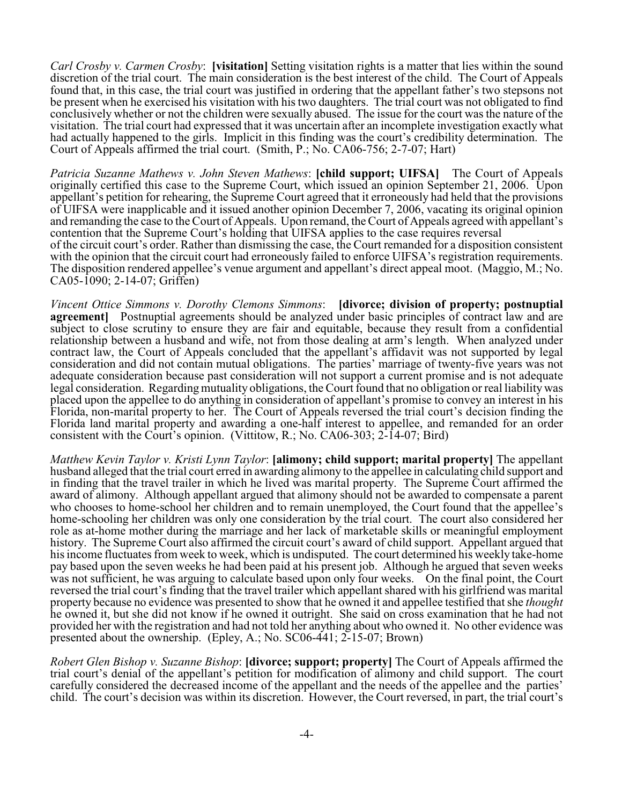*Carl Crosby v. Carmen Crosby*: **[visitation]** Setting visitation rights is a matter that lies within the sound discretion of the trial court. The main consideration is the best interest of the child. The Court of Appeals found that, in this case, the trial court was justified in ordering that the appellant father's two stepsons not be present when he exercised his visitation with his two daughters. The trial court was not obligated to find conclusively whether or not the children were sexually abused. The issue for the court was the nature of the visitation. The trial court had expressed that it was uncertain after an incomplete investigation exactly what had actually happened to the girls. Implicit in this finding was the court's credibility determination. The Court of Appeals affirmed the trial court. (Smith, P.; No. CA06-756; 2-7-07; Hart)

*Patricia Suzanne Mathews v. John Steven Mathews*: **[child support; UIFSA]** The Court of Appeals originally certified this case to the Supreme Court, which issued an opinion September 21, 2006. Upon appellant's petition for rehearing, the Supreme Court agreed that it erroneously had held that the provisions of UIFSA were inapplicable and it issued another opinion December 7, 2006, vacating its original opinion and remanding the case to the Court of Appeals. Upon remand, the Court of Appeals agreed with appellant's contention that the Supreme Court's holding that UIFSA applies to the case requires reversal of the circuit court's order. Rather than dismissing the case, the Court remanded for a disposition consistent with the opinion that the circuit court had erroneously failed to enforce UIFSA's registration requirements. The disposition rendered appellee's venue argument and appellant's direct appeal moot. (Maggio, M.; No. CA05-1090; 2-14-07; Griffen)

*Vincent Ottice Simmons v. Dorothy Clemons Simmons*: **[divorce; division of property; postnuptial agreement]** Postnuptial agreements should be analyzed under basic principles of contract law and are subject to close scrutiny to ensure they are fair and equitable, because they result from a confidential relationship between a husband and wife, not from those dealing at arm's length. When analyzed under contract law, the Court of Appeals concluded that the appellant's affidavit was not supported by legal consideration and did not contain mutual obligations. The parties' marriage of twenty-five years was not adequate consideration because past consideration will not support a current promise and is not adequate legal consideration. Regarding mutuality obligations, the Court found that no obligation or real liability was placed upon the appellee to do anything in consideration of appellant's promise to convey an interest in his Florida, non-marital property to her. The Court of Appeals reversed the trial court's decision finding the Florida land marital property and awarding a one-half interest to appellee, and remanded for an order consistent with the Court's opinion. (Vittitow, R.; No. CA06-303;  $2\text{-}14\text{-}07$ ; Bird)

*Matthew Kevin Taylor v. Kristi Lynn Taylor*: **[alimony; child support; marital property]** The appellant husband alleged that the trial court erred in awarding alimony to the appellee in calculating child support and in finding that the travel trailer in which he lived was marital property. The Supreme Court affirmed the award of alimony. Although appellant argued that alimony should not be awarded to compensate a parent who chooses to home-school her children and to remain unemployed, the Court found that the appellee's home-schooling her children was only one consideration by the trial court. The court also considered her role as at-home mother during the marriage and her lack of marketable skills or meaningful employment history. The Supreme Court also affirmed the circuit court's award of child support. Appellant argued that his income fluctuates from week to week, which is undisputed. The court determined his weekly take-home pay based upon the seven weeks he had been paid at his present job. Although he argued that seven weeks was not sufficient, he was arguing to calculate based upon only four weeks. On the final point, the Court reversed the trial court's finding that the travel trailer which appellant shared with his girlfriend was marital property because no evidence was presented to show that he owned it and appellee testified that she *thought* he owned it, but she did not know if he owned it outright. She said on cross examination that he had not provided her with the registration and had not told her anything about who owned it. No other evidence was presented about the ownership. (Epley, A.; No. SC06-441; 2-15-07; Brown)

*Robert Glen Bishop v. Suzanne Bishop*: **[divorce; support; property]** The Court of Appeals affirmed the trial court's denial of the appellant's petition for modification of alimony and child support. The court carefully considered the decreased income of the appellant and the needs of the appellee and the parties' child. The court's decision was within its discretion. However, the Court reversed, in part, the trial court's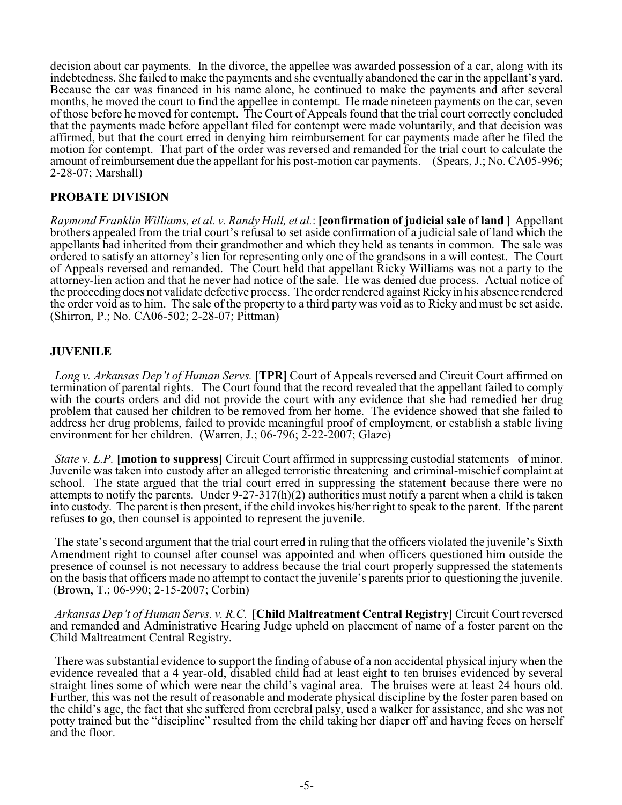decision about car payments. In the divorce, the appellee was awarded possession of a car, along with its indebtedness. She failed to make the payments and she eventually abandoned the car in the appellant's yard. Because the car was financed in his name alone, he continued to make the payments and after several months, he moved the court to find the appellee in contempt. He made nineteen payments on the car, seven of those before he moved for contempt. The Court of Appeals found that the trial court correctly concluded that the payments made before appellant filed for contempt were made voluntarily, and that decision was affirmed, but that the court erred in denying him reimbursement for car payments made after he filed the motion for contempt. That part of the order was reversed and remanded for the trial court to calculate the amount of reimbursement due the appellant for his post-motion car payments. (Spears, J.; No. CA05-996; 2-28-07; Marshall)

# **PROBATE DIVISION**

*Raymond Franklin Williams, et al. v. Randy Hall, et al.*: **[confirmation of judicial sale of land ]** Appellant brothers appealed from the trial court's refusal to set aside confirmation of a judicial sale of land which the appellants had inherited from their grandmother and which they held as tenants in common. The sale was ordered to satisfy an attorney's lien for representing only one of the grandsons in a will contest. The Court of Appeals reversed and remanded. The Court held that appellant Ricky Williams was not a party to the attorney-lien action and that he never had notice of the sale. He was denied due process. Actual notice of the proceeding does not validate defective process. The order rendered against Ricky in his absence rendered the order void as to him. The sale of the property to a third party was void as to Ricky and must be set aside. (Shirron, P.; No. CA06-502; 2-28-07; Pittman)

# **JUVENILE**

*Long v. Arkansas Dep't of Human Servs.* **[TPR]** Court of Appeals reversed and Circuit Court affirmed on termination of parental rights. The Court found that the record revealed that the appellant failed to comply with the courts orders and did not provide the court with any evidence that she had remedied her drug problem that caused her children to be removed from her home. The evidence showed that she failed to address her drug problems, failed to provide meaningful proof of employment, or establish a stable living environment for her children. (Warren, J.; 06-796; 2-22-2007; Glaze)

*State v. L.P.* **[motion to suppress]** Circuit Court affirmed in suppressing custodial statements of minor. Juvenile was taken into custody after an alleged terroristic threatening and criminal-mischief complaint at school. The state argued that the trial court erred in suppressing the statement because there were no attempts to notify the parents. Under 9-27-317(h)(2) authorities must notify a parent when a child is taken into custody. The parent is then present, if the child invokes his/her right to speak to the parent. If the parent refuses to go, then counsel is appointed to represent the juvenile.

The state's second argument that the trial court erred in ruling that the officers violated the juvenile's Sixth Amendment right to counsel after counsel was appointed and when officers questioned him outside the presence of counsel is not necessary to address because the trial court properly suppressed the statements on the basis that officers made no attempt to contact the juvenile's parents prior to questioning the juvenile. (Brown, T.; 06-990; 2-15-2007; Corbin)

*Arkansas Dep't of Human Servs. v. R.C.* [**Child Maltreatment Central Registry]** Circuit Court reversed and remanded and Administrative Hearing Judge upheld on placement of name of a foster parent on the Child Maltreatment Central Registry.

There was substantial evidence to support the finding of abuse of a non accidental physical injury when the evidence revealed that a 4 year-old, disabled child had at least eight to ten bruises evidenced by several straight lines some of which were near the child's vaginal area. The bruises were at least 24 hours old. Further, this was not the result of reasonable and moderate physical discipline by the foster paren based on the child's age, the fact that she suffered from cerebral palsy, used a walker for assistance, and she was not potty trained but the "discipline" resulted from the child taking her diaper off and having feces on herself and the floor.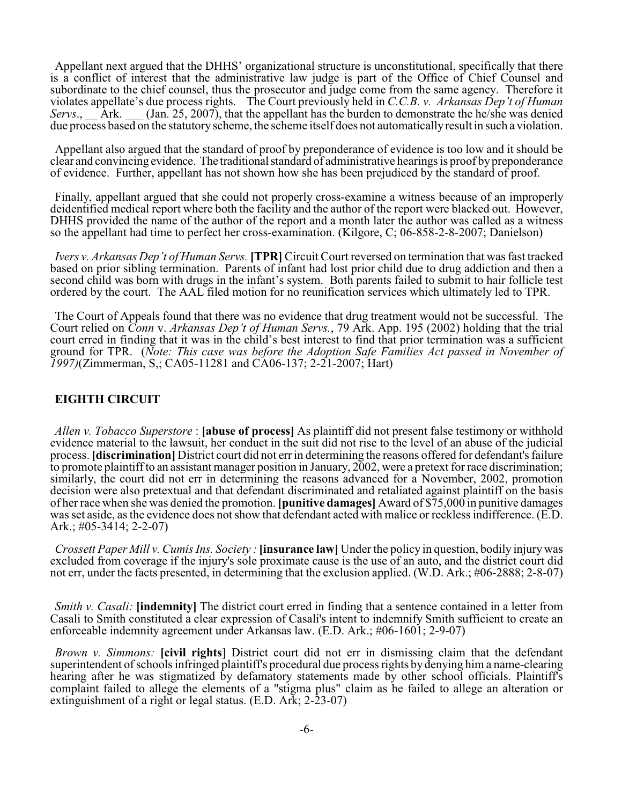Appellant next argued that the DHHS' organizational structure is unconstitutional, specifically that there is a conflict of interest that the administrative law judge is part of the Office of Chief Counsel and subordinate to the chief counsel, thus the prosecutor and judge come from the same agency. Therefore it violates appellate's due process rights. The Court previously held in *C.C.B. v. Arkansas Dep't of Human (Jan. 25, 2007), that the appellant has the burden to demonstrate the he/she was denied* due process based on the statutory scheme, the scheme itself does not automatically result in such a violation.

Appellant also argued that the standard of proof by preponderance of evidence is too low and it should be clear and convincing evidence. The traditional standard of administrative hearings is proof by preponderance of evidence. Further, appellant has not shown how she has been prejudiced by the standard of proof.

Finally, appellant argued that she could not properly cross-examine a witness because of an improperly deidentified medical report where both the facility and the author of the report were blacked out. However, DHHS provided the name of the author of the report and a month later the author was called as a witness so the appellant had time to perfect her cross-examination. (Kilgore, C; 06-858-2-8-2007; Danielson)

*Ivers v. Arkansas Dep't of Human Servs.* **[TPR]** Circuit Court reversed on termination that was fast tracked based on prior sibling termination. Parents of infant had lost prior child due to drug addiction and then a second child was born with drugs in the infant's system. Both parents failed to submit to hair follicle test ordered by the court. The AAL filed motion for no reunification services which ultimately led to TPR.

The Court of Appeals found that there was no evidence that drug treatment would not be successful. The Court relied on *Conn* v. *Arkansas Dep't of Human Servs.*, 79 Ark. App. 195 (2002) holding that the trial court erred in finding that it was in the child's best interest to find that prior termination was a sufficient ground for TPR. (*Note: This case was before the Adoption Safe Families Act passed in November of 1997)*(Zimmerman, S,; CA05-11281 and CA06-137; 2-21-2007; Hart)

### **EIGHTH CIRCUIT**

*Allen v. Tobacco Superstore* : **[abuse of process]** As plaintiff did not present false testimony or withhold evidence material to the lawsuit, her conduct in the suit did not rise to the level of an abuse of the judicial process. **[discrimination]** District court did not err in determining the reasons offered for defendant's failure to promote plaintiff to an assistant manager position in January, 2002, were a pretext for race discrimination; similarly, the court did not err in determining the reasons advanced for a November, 2002, promotion decision were also pretextual and that defendant discriminated and retaliated against plaintiff on the basis of her race when she was denied the promotion. **[punitive damages]** Award of \$75,000 in punitive damages was set aside, as the evidence does not show that defendant acted with malice or reckless indifference. (E.D. Ark.; #05-3414; 2-2-07)

*Crossett Paper Mill v. Cumis Ins. Society :* **[insurance law]** Under the policy in question, bodily injury was excluded from coverage if the injury's sole proximate cause is the use of an auto, and the district court did not err, under the facts presented, in determining that the exclusion applied. (W.D. Ark.; #06-2888; 2-8-07)

*Smith v. Casali:* [indemnity] The district court erred in finding that a sentence contained in a letter from Casali to Smith constituted a clear expression of Casali's intent to indemnify Smith sufficient to create an enforceable indemnity agreement under Arkansas law. (E.D. Ark.; #06-1601; 2-9-07)

*Brown v. Simmons:* **[civil rights**] District court did not err in dismissing claim that the defendant superintendent of schools infringed plaintiff's procedural due process rights by denying him a name-clearing hearing after he was stigmatized by defamatory statements made by other school officials. Plaintiff's complaint failed to allege the elements of a "stigma plus" claim as he failed to allege an alteration or extinguishment of a right or legal status.  $(E.D. Ar\overline{k}; 2-23-07)$